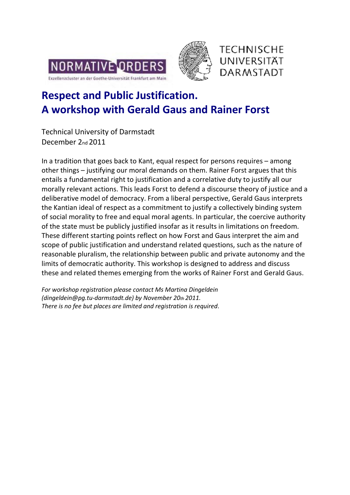





# **Respect and Public Justification. A workshop with Gerald Gaus and Rainer Forst**

Technical University of Darmstadt December 2nd 2011

In a tradition that goes back to Kant, equal respect for persons requires – among other things – justifying our moral demands on them. Rainer Forst argues that this entails a fundamental right to justification and a correlative duty to justify all our morally relevant actions. This leads Forst to defend a discourse theory of justice and a deliberative model of democracy. From a liberal perspective, Gerald Gaus interprets the Kantian ideal of respect as a commitment to justify a collectively binding system of social morality to free and equal moral agents. In particular, the coercive authority of the state must be publicly justified insofar as it results in limitations on freedom. These different starting points reflect on how Forst and Gaus interpret the aim and scope of public justification and understand related questions, such as the nature of reasonable pluralism, the relationship between public and private autonomy and the limits of democratic authority. This workshop is designed to address and discuss these and related themes emerging from the works of Rainer Forst and Gerald Gaus.

*For workshop registration please contact Ms Martina Dingeldein (dingeldein@pg.tu-darmstadt.de) by November 20th 2011. There is no fee but places are limited and registration is required*.